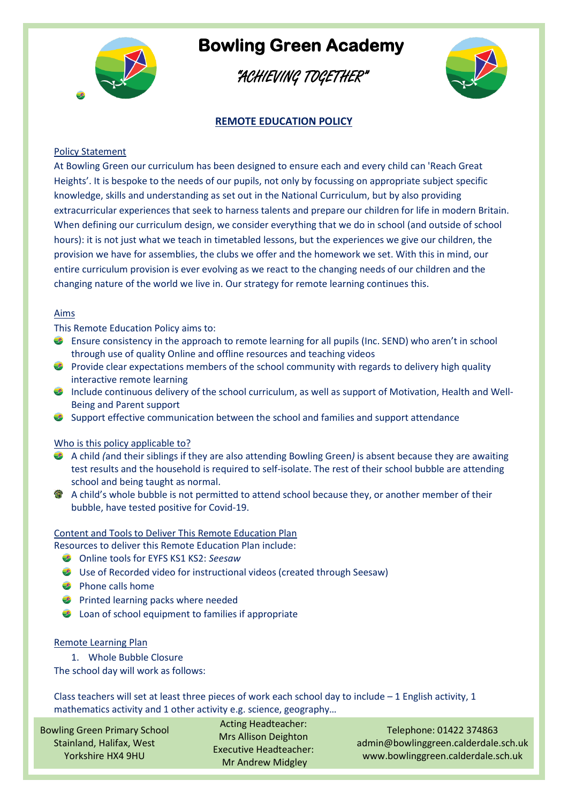

"ACHIEVING TOGETHER"



### **REMOTE EDUCATION POLICY**

#### Policy Statement

At Bowling Green our curriculum has been designed to ensure each and every child can 'Reach Great Heights'. It is bespoke to the needs of our pupils, not only by focussing on appropriate subject specific knowledge, skills and understanding as set out in the National Curriculum, but by also providing extracurricular experiences that seek to harness talents and prepare our children for life in modern Britain. When defining our curriculum design, we consider everything that we do in school (and outside of school hours): it is not just what we teach in timetabled lessons, but the experiences we give our children, the provision we have for assemblies, the clubs we offer and the homework we set. With this in mind, our entire curriculum provision is ever evolving as we react to the changing needs of our children and the changing nature of the world we live in. Our strategy for remote learning continues this.

#### Aims

This Remote Education Policy aims to:

- Ensure consistency in the approach to remote learning for all pupils (Inc. SEND) who aren't in school through use of quality Online and offline resources and teaching videos
- $\bullet$  Provide clear expectations members of the school community with regards to delivery high quality interactive remote learning
- **2** Include continuous delivery of the school curriculum, as well as support of Motivation, Health and Well-Being and Parent support
- Support effective communication between the school and families and support attendance

#### Who is this policy applicable to?

- A child *(*and their siblings if they are also attending Bowling Green*)* is absent because they are awaiting test results and the household is required to self-isolate. The rest of their school bubble are attending school and being taught as normal.
- **A** child's whole bubble is not permitted to attend school because they, or another member of their bubble, have tested positive for Covid-19.

#### Content and Tools to Deliver This Remote Education Plan

Resources to deliver this Remote Education Plan include:

- Online tools for EYFS KS1 KS2: *Seesaw*
- Use of Recorded video for instructional videos (created through Seesaw)
- **Phone calls home**
- **Printed learning packs where needed**
- **2** Loan of school equipment to families if appropriate

#### Remote Learning Plan

1. Whole Bubble Closure

The school day will work as follows:

Class teachers will set at least three pieces of work each school day to include  $-1$  English activity, 1 mathematics activity and 1 other activity e.g. science, geography…

Bowling Green Primary School Stainland, Halifax, West Yorkshire HX4 9HU

Acting Headteacher: Mrs Allison Deighton Executive Headteacher: Mr Andrew Midgley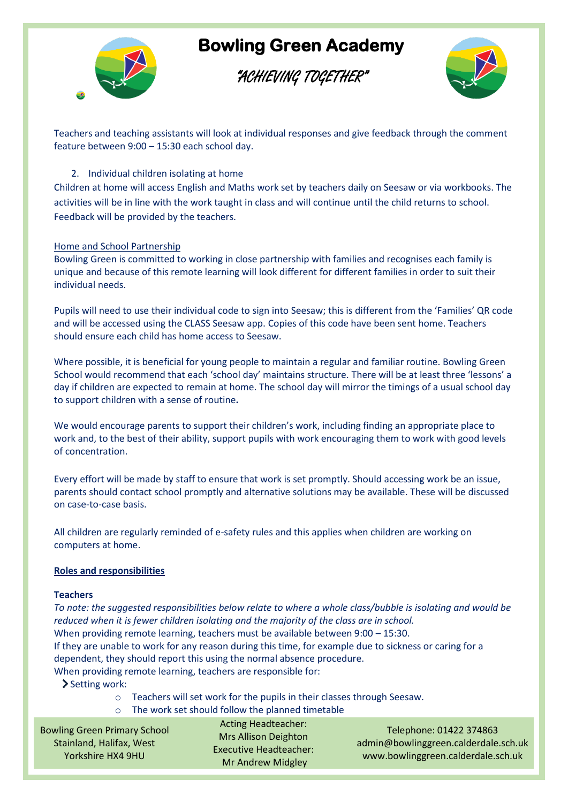

### "ACHIEVING TOGETHER"



Teachers and teaching assistants will look at individual responses and give feedback through the comment feature between 9:00 – 15:30 each school day.

#### 2. Individual children isolating at home

Children at home will access English and Maths work set by teachers daily on Seesaw or via workbooks. The activities will be in line with the work taught in class and will continue until the child returns to school. Feedback will be provided by the teachers.

#### Home and School Partnership

Bowling Green is committed to working in close partnership with families and recognises each family is unique and because of this remote learning will look different for different families in order to suit their individual needs.

Pupils will need to use their individual code to sign into Seesaw; this is different from the 'Families' QR code and will be accessed using the CLASS Seesaw app. Copies of this code have been sent home. Teachers should ensure each child has home access to Seesaw.

Where possible, it is beneficial for young people to maintain a regular and familiar routine. Bowling Green School would recommend that each 'school day' maintains structure. There will be at least three 'lessons' a day if children are expected to remain at home. The school day will mirror the timings of a usual school day to support children with a sense of routine**.**

We would encourage parents to support their children's work, including finding an appropriate place to work and, to the best of their ability, support pupils with work encouraging them to work with good levels of concentration.

Every effort will be made by staff to ensure that work is set promptly. Should accessing work be an issue, parents should contact school promptly and alternative solutions may be available. These will be discussed on case-to-case basis.

All children are regularly reminded of e-safety rules and this applies when children are working on computers at home.

#### **Roles and responsibilities**

#### **Teachers**

*To note: the suggested responsibilities below relate to where a whole class/bubble is isolating and would be reduced when it is fewer children isolating and the majority of the class are in school.* When providing remote learning, teachers must be available between 9:00 – 15:30. If they are unable to work for any reason during this time, for example due to sickness or caring for a dependent, they should report this using the normal absence procedure. When providing remote learning, teachers are responsible for:

- > Setting work:
	- o Teachers will set work for the pupils in their classes through Seesaw.
	- o The work set should follow the planned timetable

Bowling Green Primary School Stainland, Halifax, West Yorkshire HX4 9HU

Acting Headteacher: Mrs Allison Deighton Executive Headteacher: Mr Andrew Midgley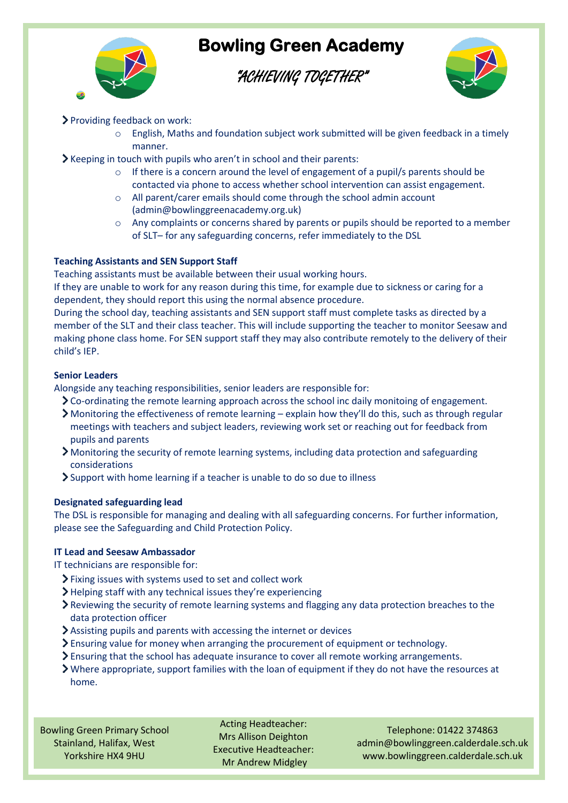

### "ACHIEVING TOGETHER"



### Providing feedback on work:

- $\circ$  English, Maths and foundation subject work submitted will be given feedback in a timely manner.
- $\blacktriangleright$  Keeping in touch with pupils who aren't in school and their parents:
	- o If there is a concern around the level of engagement of a pupil/s parents should be contacted via phone to access whether school intervention can assist engagement.
	- o All parent/carer emails should come through the school admin account (admin@bowlinggreenacademy.org.uk)
	- o Any complaints or concerns shared by parents or pupils should be reported to a member of SLT– for any safeguarding concerns, refer immediately to the DSL

#### **Teaching Assistants and SEN Support Staff**

Teaching assistants must be available between their usual working hours.

If they are unable to work for any reason during this time, for example due to sickness or caring for a dependent, they should report this using the normal absence procedure.

During the school day, teaching assistants and SEN support staff must complete tasks as directed by a member of the SLT and their class teacher. This will include supporting the teacher to monitor Seesaw and making phone class home. For SEN support staff they may also contribute remotely to the delivery of their child's IEP.

#### **Senior Leaders**

Alongside any teaching responsibilities, senior leaders are responsible for:

- Co-ordinating the remote learning approach across the school inc daily monitoing of engagement.
- Monitoring the effectiveness of remote learning explain how they'll do this, such as through regular meetings with teachers and subject leaders, reviewing work set or reaching out for feedback from pupils and parents
- Monitoring the security of remote learning systems, including data protection and safeguarding considerations
- Support with home learning if a teacher is unable to do so due to illness

#### **Designated safeguarding lead**

The DSL is responsible for managing and dealing with all safeguarding concerns. For further information, please see the Safeguarding and Child Protection Policy.

#### **IT Lead and Seesaw Ambassador**

IT technicians are responsible for:

- Fixing issues with systems used to set and collect work
- Helping staff with any technical issues they're experiencing
- Reviewing the security of remote learning systems and flagging any data protection breaches to the data protection officer
- Assisting pupils and parents with accessing the internet or devices
- Ensuring value for money when arranging the procurement of equipment or technology.
- Ensuring that the school has adequate insurance to cover all remote working arrangements.
- Where appropriate, support families with the loan of equipment if they do not have the resources at home.

Bowling Green Primary School Stainland, Halifax, West Yorkshire HX4 9HU

Acting Headteacher: Mrs Allison Deighton Executive Headteacher: Mr Andrew Midgley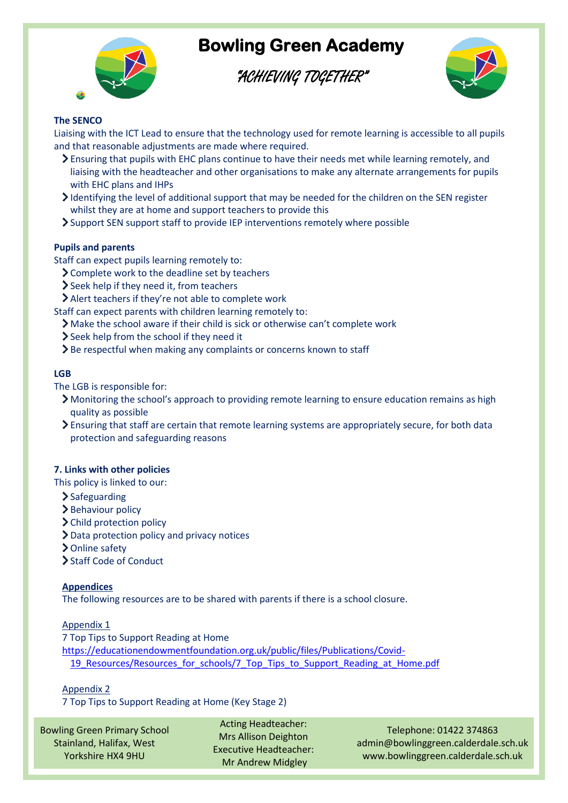

"ACHIEVING TOGETHER"



#### **The SENCO**

Liaising with the ICT Lead to ensure that the technology used for remote learning is accessible to all pupils and that reasonable adjustments are made where required.

- Ensuring that pupils with EHC plans continue to have their needs met while learning remotely, and liaising with the headteacher and other organisations to make any alternate arrangements for pupils with EHC plans and IHPs
- Identifying the level of additional support that may be needed for the children on the SEN register whilst they are at home and support teachers to provide this
- Support SEN support staff to provide IEP interventions remotely where possible

#### **Pupils and parents**

Staff can expect pupils learning remotely to:

- Complete work to the deadline set by teachers
- Seek help if they need it, from teachers
- Alert teachers if they're not able to complete work

Staff can expect parents with children learning remotely to:

- Make the school aware if their child is sick or otherwise can't complete work
- Seek help from the school if they need it
- $\sum$  Be respectful when making any complaints or concerns known to staff

#### **LGB**

The LGB is responsible for:

- Monitoring the school's approach to providing remote learning to ensure education remains as high quality as possible
- Ensuring that staff are certain that remote learning systems are appropriately secure, for both data protection and safeguarding reasons

#### **7. Links with other policies**

This policy is linked to our:

- $\sum$  Safeguarding
- > Behaviour policy
- > Child protection policy
- Data protection policy and privacy notices
- > Online safety
- > Staff Code of Conduct

#### **Appendices**

The following resources are to be shared with parents if there is a school closure.

#### Appendix 1

7 Top Tips to Support Reading at Home

[https://educationendowmentfoundation.org.uk/public/files/Publications/Covid-](https://educationendowmentfoundation.org.uk/public/files/Publications/Covid-19_Resources/Resources_for_schools/7_Top_Tips_to_Support_Reading_at_Home.pdf)19 Resources/Resources for schools/7 Top Tips to Support Reading at Home.pdf

#### Appendix 2

7 Top Tips to Support Reading at Home (Key Stage 2)

Bowling Green Primary School Stainland, Halifax, West Yorkshire HX4 9HU

Acting Headteacher: Mrs Allison Deighton Executive Headteacher: Mr Andrew Midgley